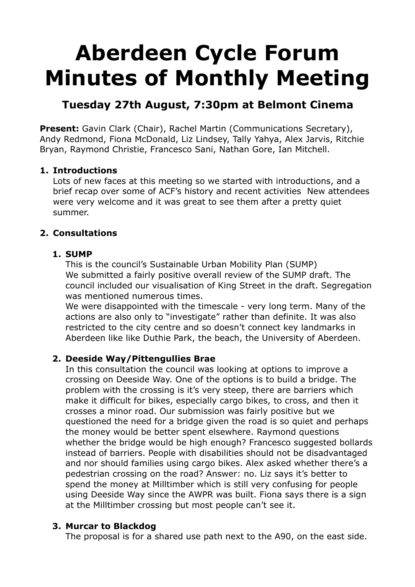# **Aberdeen Cycle Forum Minutes of Monthly Meeting**

## **Tuesday 27th August, 7:30pm at Belmont Cinema**

Present: Gavin Clark (Chair), Rachel Martin (Communications Secretary), Andy Redmond, Fiona McDonald, Liz Lindsey, Tally Yahya, Alex Jarvis, Ritchie Bryan, Raymond Christie, Francesco Sani, Nathan Gore, Ian Mitchell.

## **1. Introductions**

Lots of new faces at this meeting so we started with introductions, and a brief recap over some of ACF's history and recent activities New attendees were very welcome and it was great to see them after a pretty quiet summer.

## **2. Consultations**

#### **1. SUMP**

This is the council's Sustainable Urban Mobility Plan (SUMP) We submitted a fairly positive overall review of the SUMP draft. The council included our visualisation of King Street in the draft. Segregation was mentioned numerous times.

We were disappointed with the timescale - very long term. Many of the actions are also only to "investigate" rather than definite. It was also restricted to the city centre and so doesn't connect key landmarks in Aberdeen like like Duthie Park, the beach, the University of Aberdeen.

#### **2. Deeside Way/Pittengullies Brae**

In this consultation the council was looking at options to improve a crossing on Deeside Way. One of the options is to build a bridge. The problem with the crossing is it's very steep, there are barriers which make it difficult for bikes, especially cargo bikes, to cross, and then it crosses a minor road. Our submission was fairly positive but we questioned the need for a bridge given the road is so quiet and perhaps the money would be better spent elsewhere. Raymond questions whether the bridge would be high enough? Francesco suggested bollards instead of barriers. People with disabilities should not be disadvantaged and nor should families using cargo bikes. Alex asked whether there's a pedestrian crossing on the road? Answer: no. Liz says it's better to spend the money at Milltimber which is still very confusing for people using Deeside Way since the AWPR was built. Fiona says there is a sign at the Milltimber crossing but most people can't see it.

#### **3. Murcar to Blackdog**

The proposal is for a shared use path next to the A90, on the east side.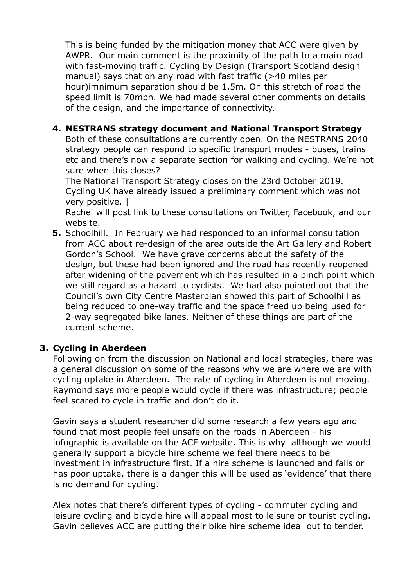This is being funded by the mitigation money that ACC were given by AWPR. Our main comment is the proximity of the path to a main road with fast-moving traffic. Cycling by Design (Transport Scotland design manual) says that on any road with fast traffic (>40 miles per hour)imnimum separation should be 1.5m. On this stretch of road the speed limit is 70mph. We had made several other comments on details of the design, and the importance of connectivity.

## **4. NESTRANS strategy document and National Transport Strategy**

Both of these consultations are currently open. On the NESTRANS 2040 strategy people can respond to specific transport modes - buses, trains etc and there's now a separate section for walking and cycling. We're not sure when this closes?

The National Transport Strategy closes on the 23rd October 2019. Cycling UK have already issued a preliminary comment which was not very positive. |

Rachel will post link to these consultations on Twitter, Facebook, and our website.

**5.** Schoolhill. In February we had responded to an informal consultation from ACC about re-design of the area outside the Art Gallery and Robert Gordon's School. We have grave concerns about the safety of the design, but these had been ignored and the road has recently reopened after widening of the pavement which has resulted in a pinch point which we still regard as a hazard to cyclists. We had also pointed out that the Council's own City Centre Masterplan showed this part of Schoolhill as being reduced to one-way traffic and the space freed up being used for 2-way segregated bike lanes. Neither of these things are part of the current scheme.

## **3. Cycling in Aberdeen**

Following on from the discussion on National and local strategies, there was a general discussion on some of the reasons why we are where we are with cycling uptake in Aberdeen. The rate of cycling in Aberdeen is not moving. Raymond says more people would cycle if there was infrastructure; people feel scared to cycle in traffic and don't do it.

Gavin says a student researcher did some research a few years ago and found that most people feel unsafe on the roads in Aberdeen - his infographic is available on the ACF website. This is why although we would generally support a bicycle hire scheme we feel there needs to be investment in infrastructure first. If a hire scheme is launched and fails or has poor uptake, there is a danger this will be used as 'evidence' that there is no demand for cycling.

Alex notes that there's different types of cycling - commuter cycling and leisure cycling and bicycle hire will appeal most to leisure or tourist cycling. Gavin believes ACC are putting their bike hire scheme idea out to tender.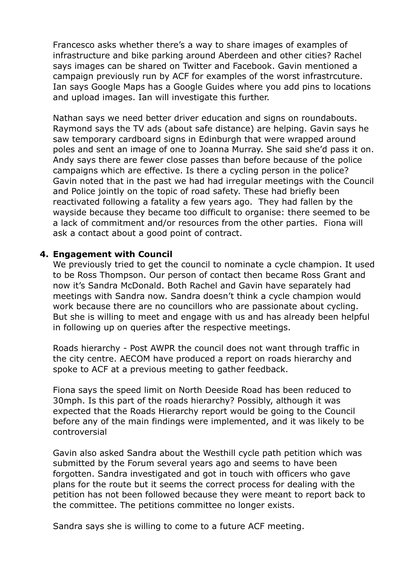Francesco asks whether there's a way to share images of examples of infrastructure and bike parking around Aberdeen and other cities? Rachel says images can be shared on Twitter and Facebook. Gavin mentioned a campaign previously run by ACF for examples of the worst infrastrcuture. Ian says Google Maps has a Google Guides where you add pins to locations and upload images. Ian will investigate this further.

Nathan says we need better driver education and signs on roundabouts. Raymond says the TV ads (about safe distance) are helping. Gavin says he saw temporary cardboard signs in Edinburgh that were wrapped around poles and sent an image of one to Joanna Murray. She said she'd pass it on. Andy says there are fewer close passes than before because of the police campaigns which are effective. Is there a cycling person in the police? Gavin noted that in the past we had had irregular meetings with the Council and Police jointly on the topic of road safety. These had briefly been reactivated following a fatality a few years ago. They had fallen by the wayside because they became too difficult to organise: there seemed to be a lack of commitment and/or resources from the other parties. Fiona will ask a contact about a good point of contract.

#### **4. Engagement with Council**

We previously tried to get the council to nominate a cycle champion. It used to be Ross Thompson. Our person of contact then became Ross Grant and now it's Sandra McDonald. Both Rachel and Gavin have separately had meetings with Sandra now. Sandra doesn't think a cycle champion would work because there are no councillors who are passionate about cycling. But she is willing to meet and engage with us and has already been helpful in following up on queries after the respective meetings.

Roads hierarchy - Post AWPR the council does not want through traffic in the city centre. AECOM have produced a report on roads hierarchy and spoke to ACF at a previous meeting to gather feedback.

Fiona says the speed limit on North Deeside Road has been reduced to 30mph. Is this part of the roads hierarchy? Possibly, although it was expected that the Roads Hierarchy report would be going to the Council before any of the main findings were implemented, and it was likely to be controversial

Gavin also asked Sandra about the Westhill cycle path petition which was submitted by the Forum several years ago and seems to have been forgotten. Sandra investigated and got in touch with officers who gave plans for the route but it seems the correct process for dealing with the petition has not been followed because they were meant to report back to the committee. The petitions committee no longer exists.

Sandra says she is willing to come to a future ACF meeting.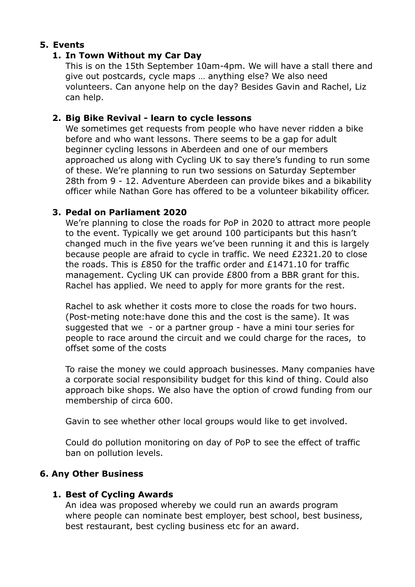## **5. Events**

## **1. In Town Without my Car Day**

This is on the 15th September 10am-4pm. We will have a stall there and give out postcards, cycle maps … anything else? We also need volunteers. Can anyone help on the day? Besides Gavin and Rachel, Liz can help.

## **2. Big Bike Revival - learn to cycle lessons**

We sometimes get requests from people who have never ridden a bike before and who want lessons. There seems to be a gap for adult beginner cycling lessons in Aberdeen and one of our members approached us along with Cycling UK to say there's funding to run some of these. We're planning to run two sessions on Saturday September 28th from 9 - 12. Adventure Aberdeen can provide bikes and a bikability officer while Nathan Gore has offered to be a volunteer bikability officer.

## **3. Pedal on Parliament 2020**

We're planning to close the roads for PoP in 2020 to attract more people to the event. Typically we get around 100 participants but this hasn't changed much in the five years we've been running it and this is largely because people are afraid to cycle in traffic. We need £2321.20 to close the roads. This is £850 for the traffic order and £1471.10 for traffic management. Cycling UK can provide £800 from a BBR grant for this. Rachel has applied. We need to apply for more grants for the rest.

Rachel to ask whether it costs more to close the roads for two hours. (Post-meting note:have done this and the cost is the same). It was suggested that we - or a partner group - have a mini tour series for people to race around the circuit and we could charge for the races, to offset some of the costs

To raise the money we could approach businesses. Many companies have a corporate social responsibility budget for this kind of thing. Could also approach bike shops. We also have the option of crowd funding from our membership of circa 600.

Gavin to see whether other local groups would like to get involved.

Could do pollution monitoring on day of PoP to see the effect of traffic ban on pollution levels.

## **6. Any Other Business**

#### **1. Best of Cycling Awards**

An idea was proposed whereby we could run an awards program where people can nominate best employer, best school, best business, best restaurant, best cycling business etc for an award.